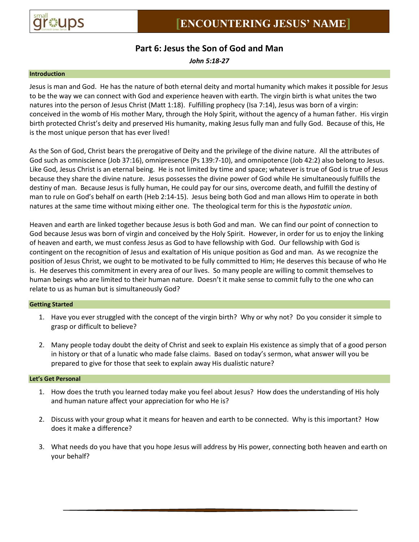

# **Part 6: Jesus the Son of God and Man**

*John 5:18-27*

## **Introduction**

Jesus is man and God. He has the nature of both eternal deity and mortal humanity which makes it possible for Jesus to be the way we can connect with God and experience heaven with earth. The virgin birth is what unites the two natures into the person of Jesus Christ (Matt 1:18). Fulfilling prophecy (Isa 7:14), Jesus was born of a virgin: conceived in the womb of His mother Mary, through the Holy Spirit, without the agency of a human father. His virgin birth protected Christ's deity and preserved His humanity, making Jesus fully man and fully God. Because of this, He is the most unique person that has ever lived!

As the Son of God, Christ bears the prerogative of Deity and the privilege of the divine nature. All the attributes of God such as omniscience (Job 37:16), omnipresence (Ps 139:7-10), and omnipotence (Job 42:2) also belong to Jesus. Like God, Jesus Christ is an eternal being. He is not limited by time and space; whatever is true of God is true of Jesus because they share the divine nature. Jesus possesses the divine power of God while He simultaneously fulfills the destiny of man. Because Jesus is fully human, He could pay for our sins, overcome death, and fulfill the destiny of man to rule on God's behalf on earth (Heb 2:14-15). Jesus being both God and man allows Him to operate in both natures at the same time without mixing either one. The theological term for this is the *hypostatic union*.

Heaven and earth are linked together because Jesus is both God and man. We can find our point of connection to God because Jesus was born of virgin and conceived by the Holy Spirit. However, in order for us to enjoy the linking of heaven and earth, we must confess Jesus as God to have fellowship with God. Our fellowship with God is contingent on the recognition of Jesus and exaltation of His unique position as God and man. As we recognize the position of Jesus Christ, we ought to be motivated to be fully committed to Him; He deserves this because of who He is. He deserves this commitment in every area of our lives. So many people are willing to commit themselves to human beings who are limited to their human nature. Doesn't it make sense to commit fully to the one who can relate to us as human but is simultaneously God?

# **Getting Started**

- 1. Have you ever struggled with the concept of the virgin birth? Why or why not? Do you consider it simple to grasp or difficult to believe?
- 2. Many people today doubt the deity of Christ and seek to explain His existence as simply that of a good person in history or that of a lunatic who made false claims. Based on today's sermon, what answer will you be prepared to give for those that seek to explain away His dualistic nature?

#### **Let's Get Personal**

- 1. How does the truth you learned today make you feel about Jesus? How does the understanding of His holy and human nature affect your appreciation for who He is?
- 2. Discuss with your group what it means for heaven and earth to be connected. Why is this important? How does it make a difference?
- 3. What needs do you have that you hope Jesus will address by His power, connecting both heaven and earth on your behalf?